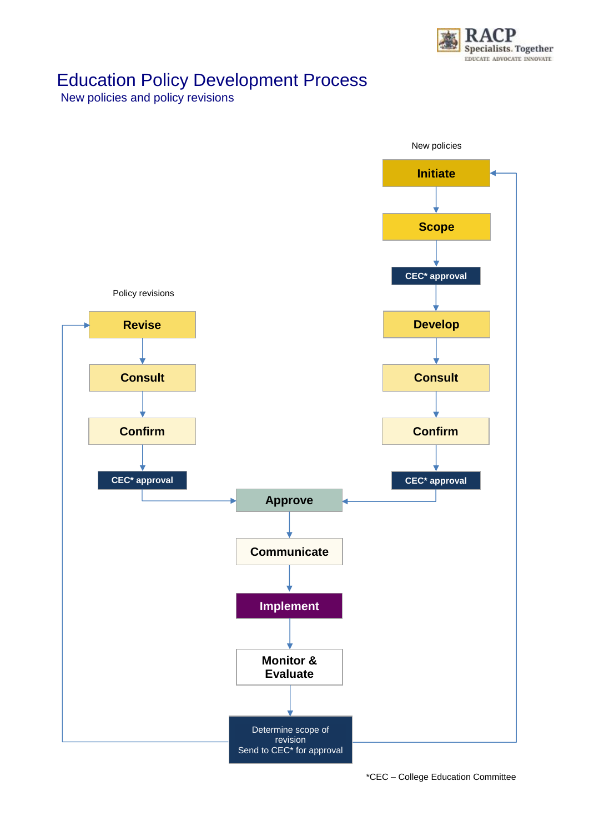

## Education Policy Development Process

New policies and policy revisions

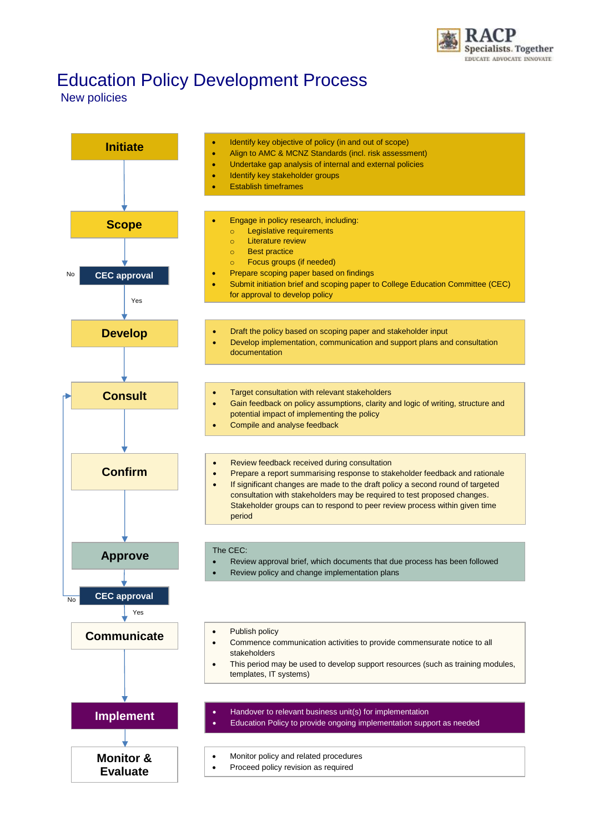

## Education Policy Development Process

## New policies